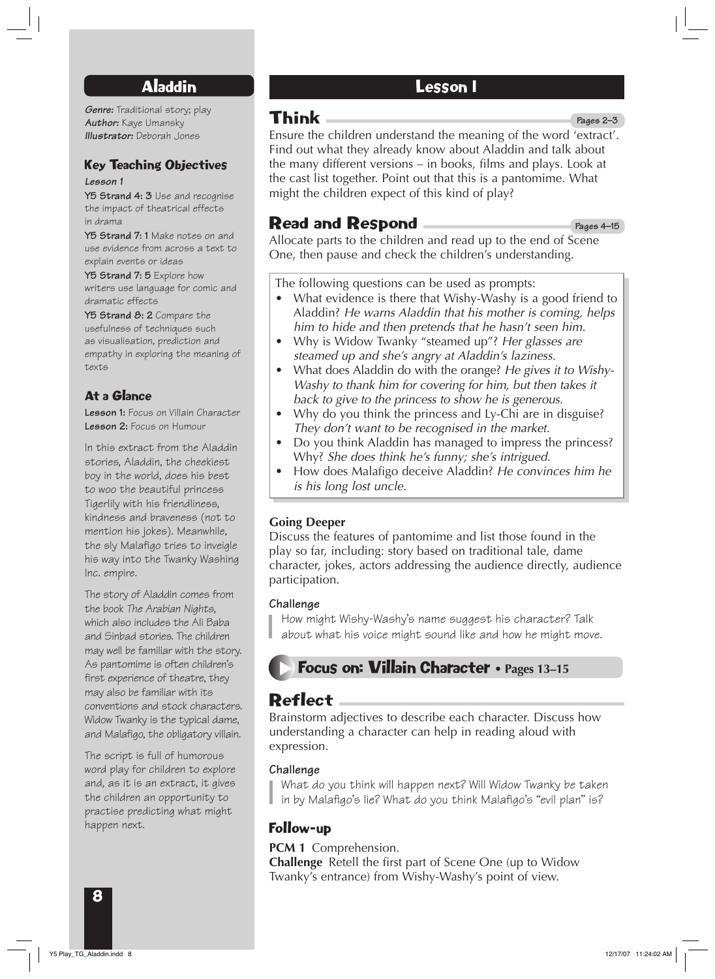## Aladdin

*Genre:* Traditional story; play *Author:* Kaye Umansky *Illustrator:* Deborah Jones

### Key Teaching Objectives

#### *Lesson 1*

**Y5 Strand 4: 3** Use and recognise the impact of theatrical effects in drama

**Y5 Strand 7: 1** Make notes on and use evidence from across a text to explain events or ideas

**Y5 Strand 7: 5** Explore how writers use language for comic and dramatic effects

**Y5 Strand 8: 2** Compare the usefulness of techniques such as visualisation, prediction and empathy in exploring the meaning of texts

### At a Glance

**Lesson 1:** Focus on Villain Character **Lesson 2:** Focus on Humour

In this extract from the Aladdin stories, Aladdin, the cheekiest boy in the world, does his best to woo the beautiful princess Tigerlily with his friendliness, kindness and braveness (not to mention his jokes). Meanwhile, the sly Malafigo tries to inveigle his way into the Twanky Washing Inc. empire.

The story of Aladdin comes from the book *The Arabian Nights*, which also includes the Ali Baba and Sinbad stories. The children may well be familiar with the story. As pantomime is often children's first experience of theatre, they may also be familiar with its conventions and stock characters. Widow Twanky is the typical dame, and Malafigo, the obligatory villain.

The script is full of humorous word play for children to explore and, as it is an extract, it gives the children an opportunity to practise predicting what might happen next.

### Lesson 1

# Think

Ensure the children understand the meaning of the word 'extract'. Find out what they already know about Aladdin and talk about the many different versions – in books, films and plays. Look at the cast list together. Point out that this is a pantomime. What might the children expect of this kind of play? **Pages 2–3**

## Read and Respond

**Pages 4–15**

Allocate parts to the children and read up to the end of Scene One, then pause and check the children's understanding.

The following questions can be used as prompts:

- What evidence is there that Wishy-Washy is a good friend to Aladdin? *He warns Aladdin that his mother is coming, helps him to hide and then pretends that he hasn't seen him.*
- Why is Widow Twanky "steamed up"? *Her glasses are steamed up and she's angry at Aladdin's laziness.*
- What does Aladdin do with the orange? *He gives it to Wishy-Washy to thank him for covering for him, but then takes it back to give to the princess to show he is generous.*
- Why do you think the princess and Ly-Chi are in disguise? *They don't want to be recognised in the market.*
- Do you think Aladdin has managed to impress the princess? Why? *She does think he's funny; she's intrigued.*
- How does Malafigo deceive Aladdin? *He convinces him he is his long lost uncle.*

### **Going Deeper**

Discuss the features of pantomime and list those found in the play so far, including: story based on traditional tale, dame character, jokes, actors addressing the audience directly, audience participation.

#### **Challenge**

How might Wishy-Washy's name suggest his character? Talk about what his voice might sound like and how he might move.

## **Focus on: Villain Character • Pages 13-15**

# Reflect

Brainstorm adjectives to describe each character. Discuss how understanding a character can help in reading aloud with expression.

### **Challenge**

What do you think will happen next? Will Widow Twanky be taken in by Malafigo's lie? What do you think Malafigo's "evil plan" is?

## Follow-up

**PCM 1** Comprehension.

**Challenge** Retell the first part of Scene One (up to Widow Twanky's entrance) from Wishy-Washy's point of view.